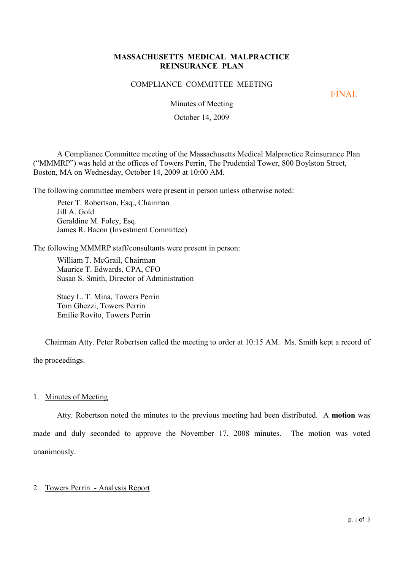## **MASSACHUSETTS MEDICAL MALPRACTICE REINSURANCE PLAN**

#### COMPLIANCE COMMITTEE MEETING

FINAL

Minutes of Meeting

October 14, 2009

A Compliance Committee meeting of the Massachusetts Medical Malpractice Reinsurance Plan ("MMMRP") was held at the offices of Towers Perrin, The Prudential Tower, 800 Boylston Street, Boston, MA on Wednesday, October 14, 2009 at 10:00 AM.

The following committee members were present in person unless otherwise noted:

Peter T. Robertson, Esq., Chairman Jill A. Gold Geraldine M. Foley, Esq. James R. Bacon (Investment Committee)

The following MMMRP staff/consultants were present in person:

William T. McGrail, Chairman Maurice T. Edwards, CPA, CFO Susan S. Smith, Director of Administration

Stacy L. T. Mina, Towers Perrin Tom Ghezzi, Towers Perrin Emilie Rovito, Towers Perrin

Chairman Atty. Peter Robertson called the meeting to order at 10:15 AM. Ms. Smith kept a record of the proceedings.

1. Minutes of Meeting

Atty. Robertson noted the minutes to the previous meeting had been distributed. A **motion** was made and duly seconded to approve the November 17, 2008 minutes. The motion was voted unanimously.

### 2. Towers Perrin - Analysis Report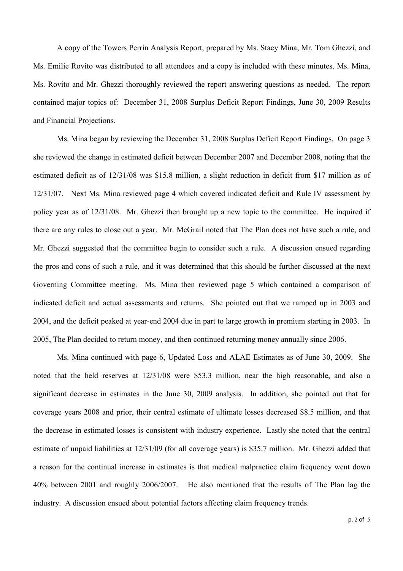A copy of the Towers Perrin Analysis Report, prepared by Ms. Stacy Mina, Mr. Tom Ghezzi, and Ms. Emilie Rovito was distributed to all attendees and a copy is included with these minutes. Ms. Mina, Ms. Rovito and Mr. Ghezzi thoroughly reviewed the report answering questions as needed. The report contained major topics of: December 31, 2008 Surplus Deficit Report Findings, June 30, 2009 Results and Financial Projections.

Ms. Mina began by reviewing the December 31, 2008 Surplus Deficit Report Findings. On page 3 she reviewed the change in estimated deficit between December 2007 and December 2008, noting that the estimated deficit as of 12/31/08 was \$15.8 million, a slight reduction in deficit from \$17 million as of 12/31/07. Next Ms. Mina reviewed page 4 which covered indicated deficit and Rule IV assessment by policy year as of 12/31/08. Mr. Ghezzi then brought up a new topic to the committee. He inquired if there are any rules to close out a year. Mr. McGrail noted that The Plan does not have such a rule, and Mr. Ghezzi suggested that the committee begin to consider such a rule. A discussion ensued regarding the pros and cons of such a rule, and it was determined that this should be further discussed at the next Governing Committee meeting. Ms. Mina then reviewed page 5 which contained a comparison of indicated deficit and actual assessments and returns. She pointed out that we ramped up in 2003 and 2004, and the deficit peaked at year-end 2004 due in part to large growth in premium starting in 2003. In 2005, The Plan decided to return money, and then continued returning money annually since 2006.

Ms. Mina continued with page 6, Updated Loss and ALAE Estimates as of June 30, 2009. She noted that the held reserves at 12/31/08 were \$53.3 million, near the high reasonable, and also a significant decrease in estimates in the June 30, 2009 analysis. In addition, she pointed out that for coverage years 2008 and prior, their central estimate of ultimate losses decreased \$8.5 million, and that the decrease in estimated losses is consistent with industry experience. Lastly she noted that the central estimate of unpaid liabilities at 12/31/09 (for all coverage years) is \$35.7 million. Mr. Ghezzi added that a reason for the continual increase in estimates is that medical malpractice claim frequency went down 40% between 2001 and roughly 2006/2007. He also mentioned that the results of The Plan lag the industry. A discussion ensued about potential factors affecting claim frequency trends.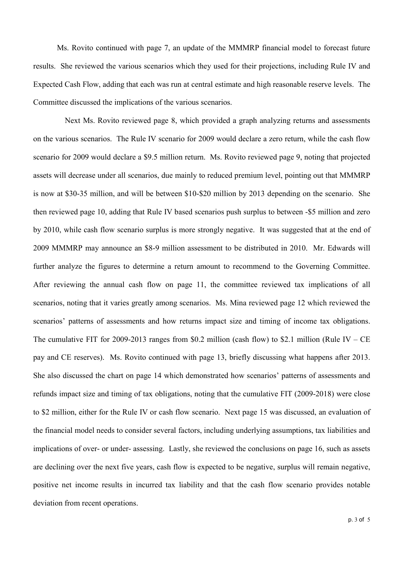Ms. Rovito continued with page 7, an update of the MMMRP financial model to forecast future results. She reviewed the various scenarios which they used for their projections, including Rule IV and Expected Cash Flow, adding that each was run at central estimate and high reasonable reserve levels. The Committee discussed the implications of the various scenarios.

Next Ms. Rovito reviewed page 8, which provided a graph analyzing returns and assessments on the various scenarios. The Rule IV scenario for 2009 would declare a zero return, while the cash flow scenario for 2009 would declare a \$9.5 million return. Ms. Rovito reviewed page 9, noting that projected assets will decrease under all scenarios, due mainly to reduced premium level, pointing out that MMMRP is now at \$30-35 million, and will be between \$10-\$20 million by 2013 depending on the scenario. She then reviewed page 10, adding that Rule IV based scenarios push surplus to between -\$5 million and zero by 2010, while cash flow scenario surplus is more strongly negative. It was suggested that at the end of 2009 MMMRP may announce an \$8-9 million assessment to be distributed in 2010. Mr. Edwards will further analyze the figures to determine a return amount to recommend to the Governing Committee. After reviewing the annual cash flow on page 11, the committee reviewed tax implications of all scenarios, noting that it varies greatly among scenarios. Ms. Mina reviewed page 12 which reviewed the scenarios' patterns of assessments and how returns impact size and timing of income tax obligations. The cumulative FIT for 2009-2013 ranges from \$0.2 million (cash flow) to \$2.1 million (Rule IV – CE pay and CE reserves). Ms. Rovito continued with page 13, briefly discussing what happens after 2013. She also discussed the chart on page 14 which demonstrated how scenarios' patterns of assessments and refunds impact size and timing of tax obligations, noting that the cumulative FIT (2009-2018) were close to \$2 million, either for the Rule IV or cash flow scenario. Next page 15 was discussed, an evaluation of the financial model needs to consider several factors, including underlying assumptions, tax liabilities and implications of over- or under- assessing. Lastly, she reviewed the conclusions on page 16, such as assets are declining over the next five years, cash flow is expected to be negative, surplus will remain negative, positive net income results in incurred tax liability and that the cash flow scenario provides notable deviation from recent operations.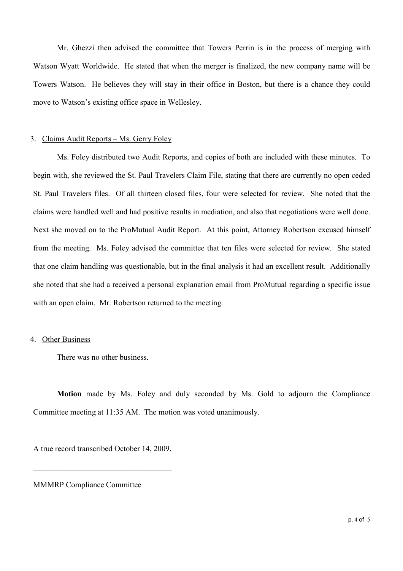Mr. Ghezzi then advised the committee that Towers Perrin is in the process of merging with Watson Wyatt Worldwide. He stated that when the merger is finalized, the new company name will be Towers Watson. He believes they will stay in their office in Boston, but there is a chance they could move to Watson's existing office space in Wellesley.

### 3. Claims Audit Reports – Ms. Gerry Foley

Ms. Foley distributed two Audit Reports, and copies of both are included with these minutes. To begin with, she reviewed the St. Paul Travelers Claim File, stating that there are currently no open ceded St. Paul Travelers files. Of all thirteen closed files, four were selected for review. She noted that the claims were handled well and had positive results in mediation, and also that negotiations were well done. Next she moved on to the ProMutual Audit Report. At this point, Attorney Robertson excused himself from the meeting. Ms. Foley advised the committee that ten files were selected for review. She stated that one claim handling was questionable, but in the final analysis it had an excellent result. Additionally she noted that she had a received a personal explanation email from ProMutual regarding a specific issue with an open claim. Mr. Robertson returned to the meeting.

## 4. Other Business

There was no other business.

**Motion** made by Ms. Foley and duly seconded by Ms. Gold to adjourn the Compliance Committee meeting at 11:35 AM. The motion was voted unanimously.

A true record transcribed October 14, 2009.

\_\_\_\_\_\_\_\_\_\_\_\_\_\_\_\_\_\_\_\_\_\_\_\_\_\_\_\_\_\_\_\_\_\_\_

MMMRP Compliance Committee